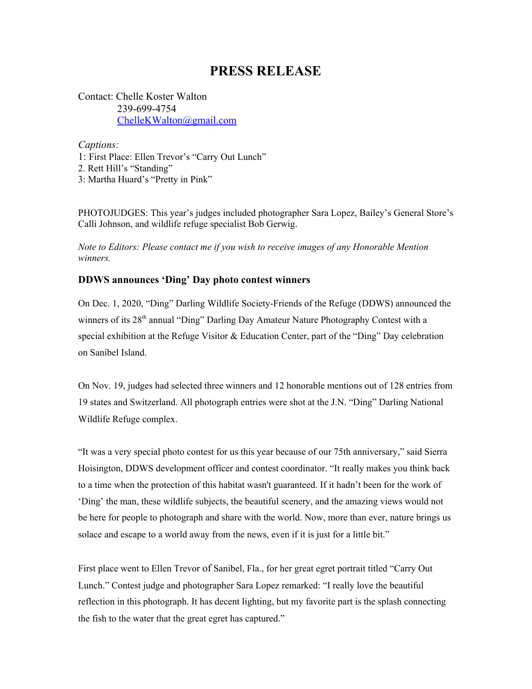## **PRESS RELEASE**

Contact: Chelle Koster Walton 239-699-4754 [ChelleKWalton@gmail.com](mailto:ChelleKWalton@gmail.com)

*Captions:*

1: First Place: Ellen Trevor's "Carry Out Lunch" 2. Rett Hill's "Standing" 3: Martha Huard's "Pretty in Pink"

PHOTOJUDGES: This year's judges included photographer Sara Lopez, Bailey's General Store's Calli Johnson, and wildlife refuge specialist Bob Gerwig.

*Note to Editors: Please contact me if you wish to receive images of any Honorable Mention winners.*

## **DDWS announces 'Ding' Day photo contest winners**

On Dec. 1, 2020, "Ding" Darling Wildlife Society-Friends of the Refuge (DDWS) announced the winners of its 28<sup>th</sup> annual "Ding" Darling Day Amateur Nature Photography Contest with a special exhibition at the Refuge Visitor & Education Center, part of the "Ding" Day celebration on Sanibel Island.

On Nov. 19, judges had selected three winners and 12 honorable mentions out of 128 entries from 19 states and Switzerland. All photograph entries were shot at the J.N. "Ding" Darling National Wildlife Refuge complex.

"It was a very special photo contest for us this year because of our 75th anniversary," said Sierra Hoisington, DDWS development officer and contest coordinator. "It really makes you think back to a time when the protection of this habitat wasn't guaranteed. If it hadn't been for the work of 'Ding' the man, these wildlife subjects, the beautiful scenery, and the amazing views would not be here for people to photograph and share with the world. Now, more than ever, nature brings us solace and escape to a world away from the news, even if it is just for a little bit."

First place went to Ellen Trevor of Sanibel, Fla., for her great egret portrait titled "Carry Out Lunch." Contest judge and photographer Sara Lopez remarked: "I really love the beautiful reflection in this photograph. It has decent lighting, but my favorite part is the splash connecting the fish to the water that the great egret has captured."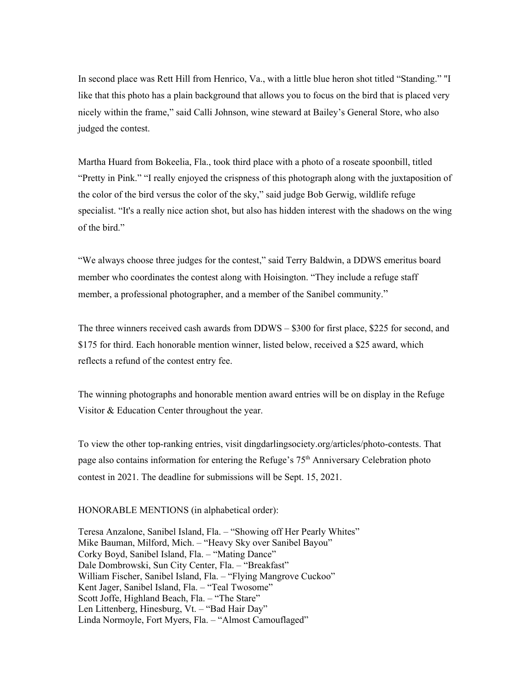In second place was Rett Hill from Henrico, Va., with a little blue heron shot titled "Standing." "I like that this photo has a plain background that allows you to focus on the bird that is placed very nicely within the frame," said Calli Johnson, wine steward at Bailey's General Store, who also judged the contest.

Martha Huard from Bokeelia, Fla., took third place with a photo of a roseate spoonbill, titled "Pretty in Pink." "I really enjoyed the crispness of this photograph along with the juxtaposition of the color of the bird versus the color of the sky," said judge Bob Gerwig, wildlife refuge specialist. "It's a really nice action shot, but also has hidden interest with the shadows on the wing of the bird."

"We always choose three judges for the contest," said Terry Baldwin, a DDWS emeritus board member who coordinates the contest along with Hoisington. "They include a refuge staff member, a professional photographer, and a member of the Sanibel community."

The three winners received cash awards from DDWS – \$300 for first place, \$225 for second, and \$175 for third. Each honorable mention winner, listed below, received a \$25 award, which reflects a refund of the contest entry fee.

The winning photographs and honorable mention award entries will be on display in the Refuge Visitor & Education Center throughout the year.

To view the other top-ranking entries, visit dingdarlingsociety.org/articles/photo-contests. That page also contains information for entering the Refuge's 75<sup>th</sup> Anniversary Celebration photo contest in 2021. The deadline for submissions will be Sept. 15, 2021.

## HONORABLE MENTIONS (in alphabetical order):

Teresa Anzalone, Sanibel Island, Fla. – "Showing off Her Pearly Whites" Mike Bauman, Milford, Mich. – "Heavy Sky over Sanibel Bayou" Corky Boyd, Sanibel Island, Fla. – "Mating Dance" Dale Dombrowski, Sun City Center, Fla. – "Breakfast" William Fischer, Sanibel Island, Fla. – "Flying Mangrove Cuckoo" Kent Jager, Sanibel Island, Fla. – "Teal Twosome" Scott Joffe, Highland Beach, Fla. – "The Stare" Len Littenberg, Hinesburg, Vt. – "Bad Hair Day" Linda Normoyle, Fort Myers, Fla. – "Almost Camouflaged"